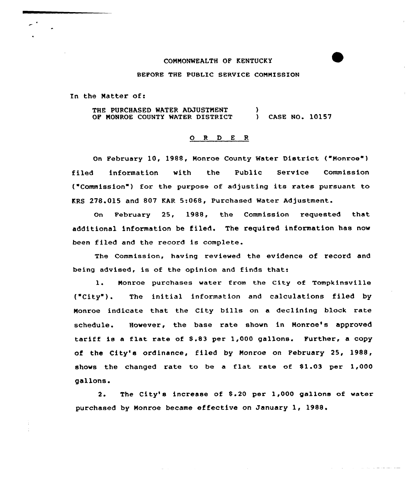#### COMMONWEALTH OF KENTUCKY

BEFORE THE PUBLIC SERVICE COMMISSION

In the Matter of:

THE PURCHASED WATER ADJUSTMENT OF NONROE COUNTY WATER DISTRICT  $\mathbf{I}$ ) CASE NO. 10157

#### ORDER

On February 10, 1988, Monroe County Water District ("Monroe" ) filed information with the Public Service Commissio ("Commission"} for the purpose of adjusting its rates pursuant to KRS 278.015 and 807 KAR 5:068, Purchased Water Adjustment.

On February 25, 1988, the Commission requested that additional information be filed. The required information has now been filed and the record is complete.

The Commission, having reviewed the evidence of record and being advised, is of the opinion and finds that:

1. Monroe purchases water from the City of Tompkinsville ("City" ). The initial information and calculations filed by Nonroe indicate that the City bills on a declining block rate schedule. However, the base rate shown in Nonroe's approved tariff is a flat rate of S.83 per 1,000 gallons. Further, a copy of the City's ordinance, filed by Monroe on February 25, 1988, shows the changed rate to be <sup>a</sup> flat rate of 81.03 per 1,000 gallons.

2. The City's increase of \$.20 per 1,000 gallons of water purchased by Monroe became effective on January 1, 1988'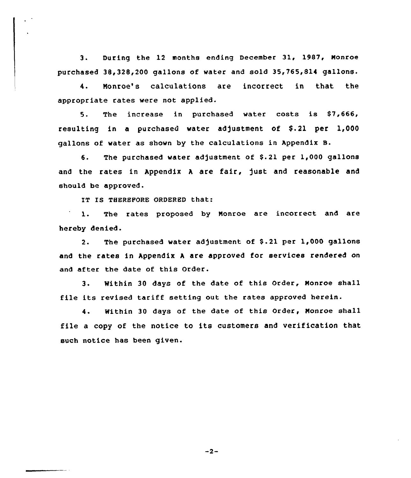3. During the 12 months ending December 31, 1987, Monroe purchased 38,328,200 gallons of water and sold 35,765,814 gallons.

4. Monroe's calculations are incorrect in that the appropriate rates were not applied.

5. The increase in purchased water costs is \$7,666, resulting in a purchased water adjustment of  $$.21$  per 1,000 gallons of water as shown by the calculations in Appendix B.

6. The purchased water adjustment of \$.21 per 1,000 gallons and the rates in Appendix <sup>A</sup> are fair, just and reasonable and should be approved.

IT IS TEEREPORE ORDERED that:

 $\mathcal{L}^{\mathcal{A}}$ 

The rates proposed by Monroe are incorrect and are  $\mathbf{1}$ . hereby denied.

2. The purchased water adjustment of \$.21 per 1,000 gallons and the rates in Appendix <sup>A</sup> are approved for services rendered on and after the date of this Order.

3. Within 30 days of the date of this Order, Monroe shall file its revised tariff setting out the rates approved herein.

4. Within 30 days of the date of this Order, Monroe shall file <sup>a</sup> copy of the notice to its customers and verification that such notice has been given.

 $-2-$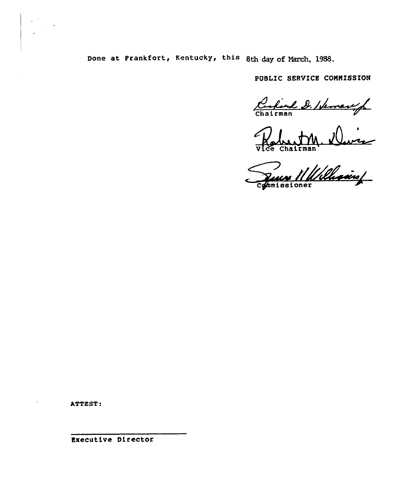Done at Frankfort, Kentucky, this 8th day of March, 1988.

PUBLIC SERVICE COMMISSION

Carlend D. Ideman/

Vice Chairman<br>Juan 11 Williams

ATTEST:

Executive Director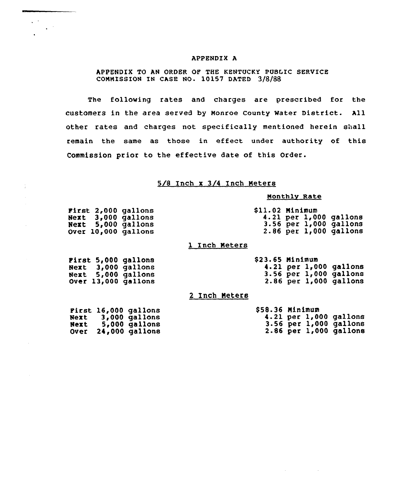#### APPENDIX A

## APPENDIX TO AN ORDER OF THE KENTUCKY PUBLIC SERVICE COMMISSION IN CASE NO. 10157 DATED 3/8/88

The following rates and charges are prescribed for the customers in the area served by Monroe county water District. All other rates and charges not specifically mentioned herein shall remain the same as those in effect under authority of this Commission prior to the effective date of this Order.

# 5/8 Inch x 3/4 Inch Meters

#### Monthlv Rate

 $\Delta \phi = 0.01$  and  $\Delta \phi = 0.01$ 

|  | First 2,000 gallons        | Sll.02 Minimum |  |                            |
|--|----------------------------|----------------|--|----------------------------|
|  | <b>Next 3,000 gallons</b>  |                |  | 4.21 per $1,000$ gallons   |
|  | Next 5,000 gallons         |                |  | $3.56$ per $1,000$ gallons |
|  | <b>Over 10,000 gallons</b> |                |  | $2.86$ per $1,000$ gallons |

## 1 Inch Meters

|  | Pirst 5,000 gallons | \$23.65 Minimum |  |                            |
|--|---------------------|-----------------|--|----------------------------|
|  | Next 3,000 gallons  |                 |  | $4.21$ per $1,000$ gallons |
|  | Next 5,000 gallons  |                 |  | $3.56$ per $1,000$ gallons |
|  | Over 13,000 gallons |                 |  | $2.86$ per $1,000$ gallons |

## 2 Inch Meters

 $\sqrt{2}$ 

 $\mathcal{L}^{(1)}$ 

|  | First 16,000 gallons | $$58.36$ Minimum |  |                            |
|--|----------------------|------------------|--|----------------------------|
|  | Next 3,000 gallons   |                  |  | $4.21$ per $1,000$ gallons |
|  | Next 5,000 gallons   |                  |  | $3.56$ per $1,000$ gallons |
|  | Over 24,000 gallons  |                  |  | $2.86$ per $1,000$ gallons |